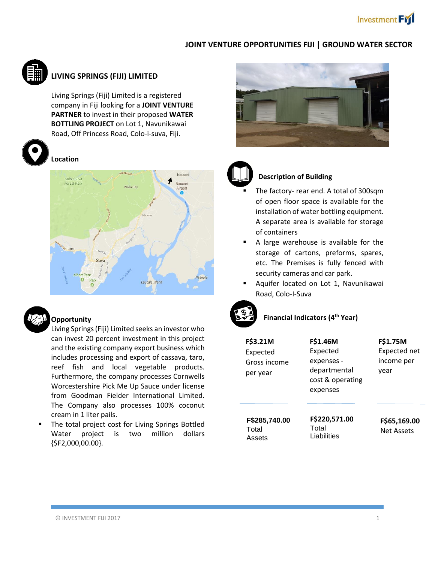## **JOINT VENTURE OPPORTUNITIES FIJI | GROUND WATER SECTOR**



# **LIVING SPRINGS (FIJI) LIMITED**

Living Springs (Fiji) Limited is a registered company in Fiji looking for a **JOINT VENTURE PARTNER** to invest in their proposed **WATER BOTTLING PROJECT** on Lot 1, Navunikawai Road, Off Princess Road, Colo-i-suva, Fiji.



#### **Location**





### **Opportunity**

 Living Springs (Fiji) Limited seeks an investor who can invest 20 percent investment in this project and the existing company export business which includes processing and export of cassava, taro, reef fish and local vegetable products. Furthermore, the company processes Cornwells Worcestershire Pick Me Up Sauce under license from Goodman Fielder International Limited. The Company also processes 100% coconut cream in 1 liter pails.

**The total project cost for Living Springs Bottled** Water project is two million dollars  ${5F2,000,00.00}.$ 





#### **Description of Building**

- The factory- rear end. A total of 300sqm of open floor space is available for the installation of water bottling equipment. A separate area is available for storage of containers
- A large warehouse is available for the storage of cartons, preforms, spares, etc. The Premises is fully fenced with security cameras and car park.
- Aquifer located on Lot 1, Navunikawai Road, Colo-I-Suva



## **Financial Indicators (4th Year)**

| F\$3.21M<br>Expected<br>Gross income<br>per year | F\$1.46M<br>Expected<br>expenses -<br>departmental<br>cost & operating<br>expenses | F\$1.75M<br>Expected net<br>income per<br>year |
|--------------------------------------------------|------------------------------------------------------------------------------------|------------------------------------------------|
| F\$285,740.00<br>Total<br>Assets                 | F\$220,571.00<br>Total<br>Liabilities                                              | F\$65,169.00<br>Net Assets                     |